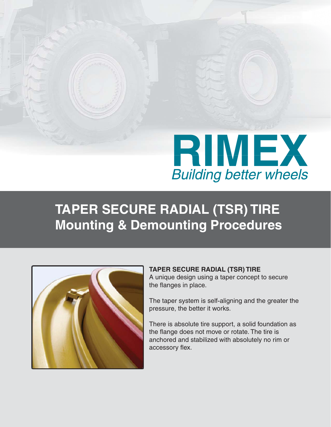

# **TAPER SECURE RADIAL (TSR) TIRE Mounting & Demounting Procedures**



### **TAPER SECURE RADIAL (TSR) TIRE**

A unique design using a taper concept to secure the flanges in place.

The taper system is self-aligning and the greater the pressure, the better it works.

There is absolute tire support, a solid foundation as the flange does not move or rotate. The tire is anchored and stabilized with absolutely no rim or accessory flex.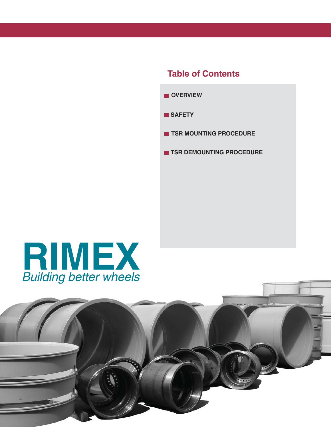## **Table of Contents**





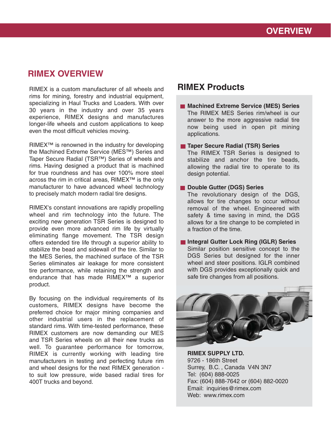### **RIMEX OVERVIEW**

RIMEX is a custom manufacturer of all wheels and rims for mining, forestry and industrial equipment, specializing in Haul Trucks and Loaders. With over 30 years in the industry and over 35 years experience, RIMEX designs and manufactures longer-life wheels and custom applications to keep even the most difficult vehicles moving.

RIMEX™ is renowned in the industry for developing the Machined Extreme Service (MES™) Series and Taper Secure Radial (TSR™) Series of wheels and rims. Having designed a product that is machined for true roundness and has over 100% more steel across the rim in critical areas, RIMEX™ is the only manufacturer to have advanced wheel technology to precisely match modern radial tire designs.

RIMEX's constant innovations are rapidly propelling wheel and rim technology into the future. The exciting new generation TSR Series is designed to provide even more advanced rim life by virtually eliminating flange movement. The TSR design offers extended tire life through a superior ability to stabilize the bead and sidewall of the tire. Similar to the MES Series, the machined surface of the TSR Series eliminates air leakage for more consistent tire performance, while retaining the strength and endurance that has made RIMEX™ a superior product.

By focusing on the individual requirements of its customers, RIMEX designs have become the preferred choice for major mining companies and other industrial users in the replacement of standard rims. With time-tested performance, these RIMEX customers are now demanding our MES and TSR Series wheels on all their new trucks as well. To guarantee performance for tomorrow, RIMEX is currently working with leading tire manufacturers in testing and perfecting future rim and wheel designs for the next RIMEX generation to suit low pressure, wide based radial tires for 400T trucks and beyond.

### **RIMEX Products**

- **Machined Extreme Service (MES) Series** The RIMEX MES Series rim/wheel is our answer to the more aggressive radial tire now being used in open pit mining applications.
- **Taper Secure Radial (TSR) Series**

The RIMEX TSR Series is designed to stabilize and anchor the tire beads, allowing the radial tire to operate to its design potential.

**Double Gutter (DGS) Series** 

The revolutionary design of the DGS, allows for tire changes to occur without removal of the wheel. Engineered with safety & time saving in mind, the DGS allows for a tire change to be completed in a fraction of the time.

**Integral Gutter Lock Ring (IGLR) Series** Similar position sensitive concept to the DGS Series but designed for the inner wheel and steer positions. IGLR combined with DGS provides exceptionally quick and safe tire changes from all positions.



**RIMEX SUPPLY LTD.** 9726 - 186th Street Surrey, B.C. , Canada V4N 3N7 Tel: (604) 888-0025 Fax: (604) 888-7642 or (604) 882-0020 Email: inquiries@rimex.com Web: www.rimex.com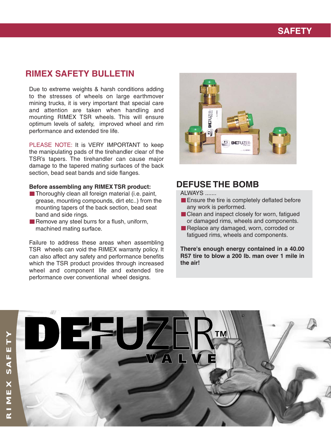## **SAFETY**

### **RIMEX SAFETY BULLETIN**

Due to extreme weights & harsh conditions adding to the stresses of wheels on large earthmover mining trucks, it is very important that special care and attention are taken when handling and mounting RIMEX TSR wheels. This will ensure optimum levels of safety, improved wheel and rim performance and extended tire life.

PLEASE NOTE: It is VERY IMPORTANT to keep the manipulating pads of the tirehandler clear of the TSR's tapers. The tirehandler can cause major damage to the tapered mating surfaces of the back section, bead seat bands and side flanges.

#### **Before assembling any RIMEX TSR product:**

- $\blacksquare$  Thoroughly clean all foreign material (i.e. paint, grease, mounting compounds, dirt etc..) from the mounting tapers of the back section, bead seat band and side rings.
- Remove any steel burrs for a flush, uniform, machined mating surface.

Failure to address these areas when assembling TSR wheels can void the RIMEX warranty policy. It can also affect any safety and performance benefits which the TSR product provides through increased wheel and component life and extended tire performance over conventional wheel designs.



### **DEFUSE THE BOMB**

ALWAYS .......

- **Ensure the tire is completely deflated before** any work is performed.
- Clean and inspect closely for worn, fatigued or damaged rims, wheels and components.
- Replace any damaged, worn, corroded or fatigued rims, wheels and components.

**There's enough energy contained in a 40.00 R57 tire to blow a 200 lb. man over 1 mile in the air!**

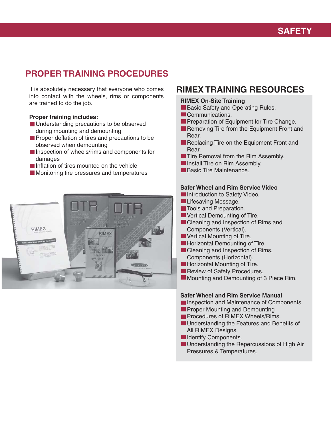# **PROPER TRAINING PROCEDURES**

It is absolutely necessary that everyone who comes into contact with the wheels, rims or components are trained to do the job.

#### **Proper training includes:**

- **Understanding precautions to be observed** during mounting and demounting
- **Proper deflation of tires and precautions to be** observed when demounting
- **Inspection of wheels/rims and components for** damages
- Inflation of tires mounted on the vehicle
- **Monitoring tire pressures and temperatures**



### **RIMEX TRAINING RESOURCES**

#### **RIMEX On-Site Training**

- Basic Safety and Operating Rules.
- Communications.
- **Preparation of Equipment for Tire Change.**
- Removing Tire from the Equipment Front and Rear.
- Replacing Tire on the Equipment Front and Rear.
- **Tire Removal from the Rim Assembly.**
- **Install Tire on Rim Assembly.**
- Basic Tire Maintenance.

### **Safer Wheel and Rim Service Video**

- **Introduction to Safety Video.**
- **Lifesaving Message.**
- **T**ools and Preparation.
- **U** Vertical Demounting of Tire.
- Cleaning and Inspection of Rims and Components (Vertical).
- **U** Vertical Mounting of Tire.
- **Horizontal Demounting of Tire.**
- Cleaning and Inspection of Rims, Components (Horizontal).
- **Horizontal Mounting of Tire.**
- Review of Safety Procedures.
- **Mounting and Demounting of 3 Piece Rim.**

#### **Safer Wheel and Rim Service Manual**

- **Inspection and Maintenance of Components.**
- **Proper Mounting and Demounting**
- **Procedures of RIMEX Wheels/Rims.**
- **Understanding the Features and Benefits of** All RIMEX Designs.
- **Indentify Components.**
- **Understanding the Repercussions of High Air** Pressures & Temperatures.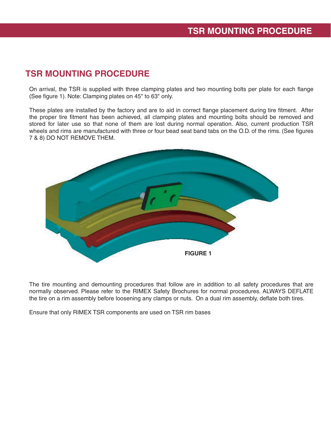# **TSR MOUNTING PROCEDURE**

On arrival, the TSR is supplied with three clamping plates and two mounting bolts per plate for each flange (See figure 1). Note: Clamping plates on 45" to 63" only.

These plates are installed by the factory and are to aid in correct flange placement during tire fitment. After the proper tire fitment has been achieved, all clamping plates and mounting bolts should be removed and stored for later use so that none of them are lost during normal operation. Also, current production TSR wheels and rims are manufactured with three or four bead seat band tabs on the O.D. of the rims. (See figures 7 & 8) DO NOT REMOVE THEM.



The tire mounting and demounting procedures that follow are in addition to all safety procedures that are normally observed. Please refer to the RIMEX Safety Brochures for normal procedures. ALWAYS DEFLATE the tire on a rim assembly before loosening any clamps or nuts. On a dual rim assembly, deflate both tires.

Ensure that only RIMEX TSR components are used on TSR rim bases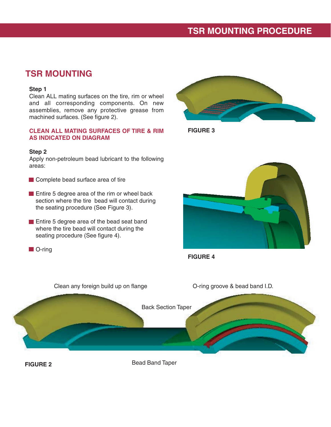### **TSR MOUNTING PROCEDURE**

### **TSR MOUNTING**

#### **Step 1**

Clean ALL mating surfaces on the tire, rim or wheel and all corresponding components. On new assemblies, remove any protective grease from machined surfaces. (See figure 2).

### **CLEAN ALL MATING SURFACES OF TIRE & RIM AS INDICATED ON DIAGRAM**

#### **Step 2**

Apply non-petroleum bead lubricant to the following areas:

- Complete bead surface area of tire
- **Entire 5 degree area of the rim or wheel back**  section where the tire bead will contact during the seating procedure (See Figure 3).
- **Entire 5 degree area of the bead seat band**  where the tire bead will contact during the seating procedure (See figure 4).
- **O**-ring



**FIGURE 3**







**FIGURE 2**

Bead Band Taper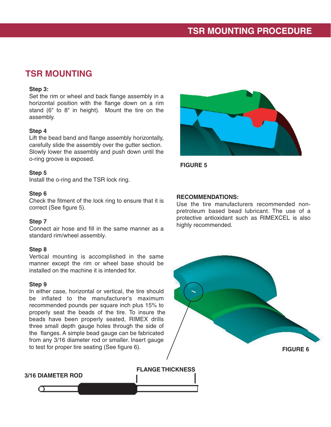## **TSR MOUNTING**

### **Step 3:**

Set the rim or wheel and back flange assembly in a horizontal position with the flange down on a rim stand (6" to 8" in height). Mount the tire on the assembly.

### **Step 4**

Lift the bead band and flange assembly horizontally, carefully slide the assembly over the gutter section. Slowly lower the assembly and push down until the o-ring groove is exposed.

### **Step 5**

Install the o-ring and the TSR lock ring.

### **Step 6**

Check the fitment of the lock ring to ensure that it is correct (See figure 5).

### **Step 7**

Connect air hose and fill in the same manner as a standard rim/wheel assembly.

### **Step 8**

Vertical mounting is accomplished in the same manner except the rim or wheel base should be installed on the machine it is intended for.

### **Step 9**

In either case, horizontal or vertical, the tire should be inflated to the manufacturer's maximum recommended pounds per square inch plus 15% to properly seat the beads of the tire. To insure the beads have been properly seated, RIMEX drills three small depth gauge holes through the side of the flanges. A simple bead gauge can be fabricated from any 3/16 diameter rod or smaller. Insert gauge to test for proper tire seating (See figure 6).



**FIGURE 5**

### **RECOMMENDATIONS:**

Use the tire manufacturers recommended nonpretroleum based bead lubricant. The use of a protective antioxidant such as RIMEXCEL is also highly recommended.



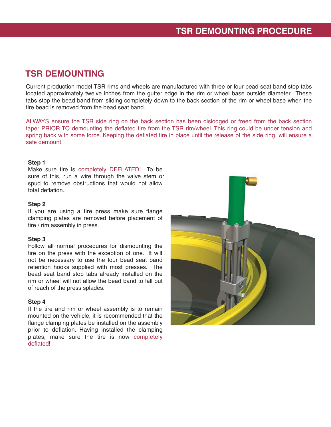### **TSR DEMOUNTING**

Current production model TSR rims and wheels are manufactured with three or four bead seat band stop tabs located approximately twelve inches from the gutter edge in the rim or wheel base outside diameter. These tabs stop the bead band from sliding completely down to the back section of the rim or wheel base when the tire bead is removed from the bead seat band.

ALWAYS ensure the TSR side ring on the back section has been dislodged or freed from the back section taper PRIOR TO demounting the deflated tire from the TSR rim/wheel. This ring could be under tension and spring back with some force. Keeping the deflated tire in place until the release of the side ring, will ensure a safe demount.

### **Step 1**

Make sure tire is completely DEFLATED! To be sure of this, run a wire through the valve stem or spud to remove obstructions that would not allow total deflation.

### **Step 2**

If you are using a tire press make sure flange clamping plates are removed before placement of tire / rim assembly in press.

### **Step 3**

Follow all normal procedures for dismounting the tire on the press with the exception of one. It will not be necessary to use the four bead seat band retention hooks supplied with most presses. The bead seat band stop tabs already installed on the rim or wheel will not allow the bead band to fall out of reach of the press splades.

### **Step 4**

If the tire and rim or wheel assembly is to remain mounted on the vehicle, it is recommended that the flange clamping plates be installed on the assembly prior to deflation. Having installed the clamping plates, make sure the tire is now completely deflated!